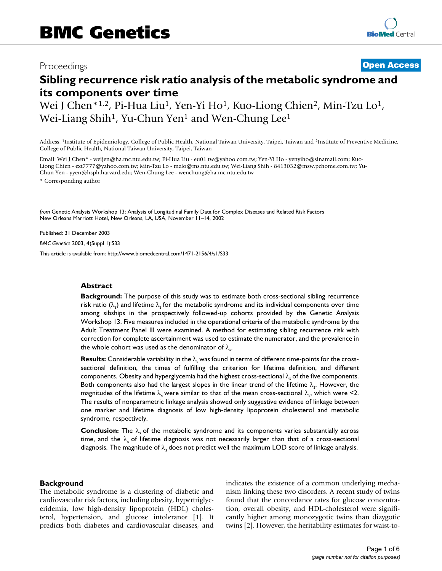## Proceedings **[Open Access](http://www.biomedcentral.com/info/about/charter/)**

# **Sibling recurrence risk ratio analysis of the metabolic syndrome and its components over time**

Wei J Chen\*<sup>1,2</sup>, Pi-Hua Liu<sup>1</sup>, Yen-Yi Ho<sup>1</sup>, Kuo-Liong Chien<sup>2</sup>, Min-Tzu Lo<sup>1</sup>, Wei-Liang Shih<sup>1</sup>, Yu-Chun Yen<sup>1</sup> and Wen-Chung Lee<sup>1</sup>

Address: 1Institute of Epidemiology, College of Public Health, National Taiwan University, Taipei, Taiwan and 2Institute of Preventive Medicine, College of Public Health, National Taiwan University, Taipei, Taiwan

Email: Wei J Chen\* - weijen@ha.mc.ntu.edu.tw; Pi-Hua Liu - eu01.tw@yahoo.com.tw; Yen-Yi Ho - yenyiho@sinamail.com; Kuo-Liong Chien - ext7777@yahoo.com.tw; Min-Tzu Lo - mzlo@ms.ntu.edu.tw; Wei-Liang Shih - 8413032@msw.pchome.com.tw; Yu-Chun Yen - yyen@hsph.harvard.edu; Wen-Chung Lee - wenchung@ha.mc.ntu.edu.tw

\* Corresponding author

*from* Genetic Analysis Workshop 13: Analysis of Longitudinal Family Data for Complex Diseases and Related Risk Factors New Orleans Marriott Hotel, New Orleans, LA, USA, November 11–14, 2002

Published: 31 December 2003

*BMC Genetics* 2003, **4**(Suppl 1):S33

[This article is available from: http://www.biomedcentral.com/1471-2156/4/s1/S33](http://www.biomedcentral.com/1471-2156/4/s1/S33)

#### **Abstract**

**Background:** The purpose of this study was to estimate both cross-sectional sibling recurrence risk ratio  $(\lambda_{\text{s}})$  and lifetime  $\lambda_{\text{s}}$  for the metabolic syndrome and its individual components over time among sibships in the prospectively followed-up cohorts provided by the Genetic Analysis Workshop 13. Five measures included in the operational criteria of the metabolic syndrome by the Adult Treatment Panel III were examined. A method for estimating sibling recurrence risk with correction for complete ascertainment was used to estimate the numerator, and the prevalence in the whole cohort was used as the denominator of  $\lambda_{\textsf{S}}^{\vphantom{\dagger}}$ 

**Results:** Considerable variability in the λ*s* was found in terms of different time-points for the crosssectional definition, the times of fulfilling the criterion for lifetime definition, and different components. Obesity and hyperglycemia had the highest cross-sectional λ*s* of the five components. Both components also had the largest slopes in the linear trend of the lifetime  $\lambda_{\text{s}}$ . However, the magnitudes of the lifetime  $\lambda_{\sf s}$  were similar to that of the mean cross-sectional  $\lambda_{\sf s}$ , which were <2. The results of nonparametric linkage analysis showed only suggestive evidence of linkage between one marker and lifetime diagnosis of low high-density lipoprotein cholesterol and metabolic syndrome, respectively.

**Conclusion:** The λ*s* of the metabolic syndrome and its components varies substantially across time, and the λ*s* of lifetime diagnosis was not necessarily larger than that of a cross-sectional diagnosis. The magnitude of λ*s* does not predict well the maximum LOD score of linkage analysis.

#### **Background**

The metabolic syndrome is a clustering of diabetic and cardiovascular risk factors, including obesity, hypertriglyceridemia, low high-density lipoprotein (HDL) cholesterol, hypertension, and glucose intolerance [1]. It predicts both diabetes and cardiovascular diseases, and indicates the existence of a common underlying mechanism linking these two disorders. A recent study of twins found that the concordance rates for glucose concentration, overall obesity, and HDL-cholesterol were significantly higher among monozygotic twins than dizygotic twins [2]. However, the heritability estimates for waist-to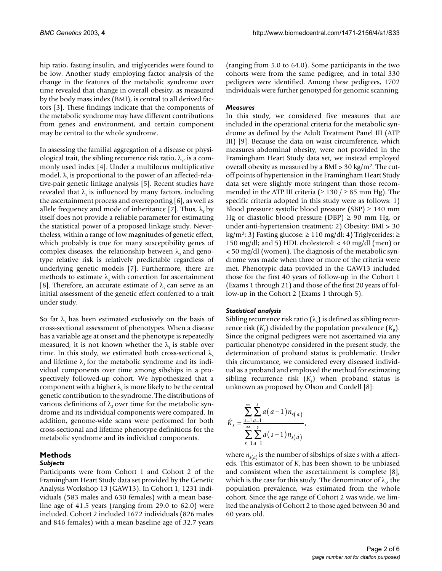hip ratio, fasting insulin, and triglycerides were found to be low. Another study employing factor analysis of the change in the features of the metabolic syndrome over time revealed that change in overall obesity, as measured by the body mass index (BMI), is central to all derived factors [3]. These findings indicate that the components of the metabolic syndrome may have different contributions from genes and environment, and certain component may be central to the whole syndrome.

In assessing the familial aggregation of a disease or physiological trait, the sibling recurrence risk ratio, λ*<sup>s</sup>* , is a commonly used index [4]. Under a multilocus multiplicative model, λ*s* is proportional to the power of an affected-relative-pair genetic linkage analysis [5]. Recent studies have revealed that  $\lambda$ , is influenced by many factors, including the ascertainment process and overreporting [6], as well as allele frequency and mode of inheritance [7]. Thus,  $\lambda$ <sub>s</sub> by itself does not provide a reliable parameter for estimating the statistical power of a proposed linkage study. Nevertheless, within a range of low magnitudes of genetic effect, which probably is true for many susceptibility genes of complex diseases, the relationship between λ*s* and genotype relative risk is relatively predictable regardless of underlying genetic models [7]. Furthermore, there are methods to estimate λ*s* with correction for ascertainment [8]. Therefore, an accurate estimate of  $\lambda$ <sub>s</sub> can serve as an initial assessment of the genetic effect conferred to a trait under study.

So far  $\lambda$ <sub>s</sub> has been estimated exclusively on the basis of cross-sectional assessment of phenotypes. When a disease has a variable age at onset and the phenotype is repeatedly measured, it is not known whether the  $\lambda_s$  is stable over time. In this study, we estimated both cross-sectional λ*<sup>s</sup>* and lifetime  $\lambda$ , for the metabolic syndrome and its individual components over time among sibships in a prospectively followed-up cohort. We hypothesized that a component with a higher λ*s* is more likely to be the central genetic contribution to the syndrome. The distributions of various definitions of λ*s* over time for the metabolic syndrome and its individual components were compared. In addition, genome-wide scans were performed for both cross-sectional and lifetime phenotype definitions for the metabolic syndrome and its individual components.

#### **Methods**

#### *Subjects*

Participants were from Cohort 1 and Cohort 2 of the Framingham Heart Study data set provided by the Genetic Analysis Workshop 13 (GAW13). In Cohort 1, 1231 individuals (583 males and 630 females) with a mean baseline age of 41.5 years (ranging from 29.0 to 62.0) were included. Cohort 2 included 1672 individuals (826 males and 846 females) with a mean baseline age of 32.7 years

(ranging from 5.0 to 64.0). Some participants in the two cohorts were from the same pedigree, and in total 330 pedigrees were identified. Among these pedigrees, 1702 individuals were further genotyped for genomic scanning.

### *Measures*

In this study, we considered five measures that are included in the operational criteria for the metabolic syndrome as defined by the Adult Treatment Panel III (ATP III) [9]. Because the data on waist circumference, which measures abdominal obesity, were not provided in the Framingham Heart Study data set, we instead employed overall obesity as measured by a BMI > 30 kg/m2. The cutoff points of hypertension in the Framingham Heart Study data set were slightly more stringent than those recommended in the ATP III criteria ( $\geq$  130 /  $\geq$  85 mm Hg). The specific criteria adopted in this study were as follows: 1) Blood pressure: systolic blood pressure (SBP)  $\geq$  140 mm Hg or diastolic blood pressure (DBP)  $\geq$  90 mm Hg, or under anti-hypertension treatment; 2) Obesity: BMI > 30  $kg/m<sup>2</sup>$ ; 3) Fasting glucose: ≥ 110 mg/dl; 4) Triglycerides: ≥ 150 mg/dl; and 5) HDL cholesterol: < 40 mg/dl (men) or < 50 mg/dl (women). The diagnosis of the metabolic syndrome was made when three or more of the criteria were met. Phenotypic data provided in the GAW13 included those for the first 40 years of follow-up in the Cohort 1 (Exams 1 through 21) and those of the first 20 years of follow-up in the Cohort 2 (Exams 1 through 5).

#### *Statistical analysis*

Sibling recurrence risk ratio  $(\lambda_s)$  is defined as sibling recurrence risk  $(K<sub>s</sub>)$  divided by the population prevalence  $(K_p)$ . Since the original pedigrees were not ascertained via any particular phenotype considered in the present study, the determination of proband status is problematic. Under this circumstance, we considered every diseased individual as a proband and employed the method for estimating sibling recurrence risk (*Ks* ) when proband status is unknown as proposed by Olson and Cordell [8]:

$$
\hat{K}_s = \frac{\sum_{s=1}^{\infty} \sum_{a=1}^{s} a(a-1) n_{s(a)}}{\sum_{s=1}^{\infty} \sum_{a=1}^{s} a(s-1) n_{s(a)}},
$$

where  $n_{s(a)}$  is the number of sibships of size *s* with *a* affecteds. This estimator of  $K_s$  has been shown to be unbiased and consistent when the ascertainment is complete [8], which is the case for this study. The denominator of λ*<sup>s</sup>* , the population prevalence, was estimated from the whole cohort. Since the age range of Cohort 2 was wide, we limited the analysis of Cohort 2 to those aged between 30 and 60 years old.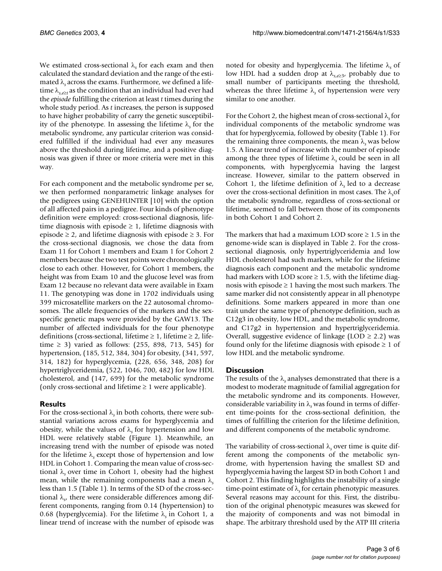We estimated cross-sectional  $\lambda$ <sub>s</sub> for each exam and then calculated the standard deviation and the range of the estimated λ*s* across the exams. Furthermore, we defined a lifetime  $\lambda_{s, e \geq t}$  as the condition that an individual had ever had the *episode* fulfilling the criterion at least *t* times during the whole study period. As *t* increases, the person is supposed to have higher probability of carry the genetic susceptibility of the phenotype. In assessing the lifetime λ*s* for the metabolic syndrome, any particular criterion was considered fulfilled if the individual had ever any measures above the threshold during lifetime, and a positive diagnosis was given if three or more criteria were met in this way.

For each component and the metabolic syndrome per se, we then performed nonparametric linkage analyses for the pedigrees using GENEHUNTER [10] with the option of all affected pairs in a pedigree. Four kinds of phenotype definition were employed: cross-sectional diagnosis, lifetime diagnosis with episode  $\geq 1$ , lifetime diagnosis with episode  $\geq$  2, and lifetime diagnosis with episode  $\geq$  3. For the cross-sectional diagnosis, we chose the data from Exam 11 for Cohort 1 members and Exam 1 for Cohort 2 members because the two test points were chronologically close to each other. However, for Cohort 1 members, the height was from Exam 10 and the glucose level was from Exam 12 because no relevant data were available in Exam 11. The genotyping was done in 1702 individuals using 399 microsatellite markers on the 22 autosomal chromosomes. The allele frequencies of the markers and the sexspecific genetic maps were provided by the GAW13. The number of affected individuals for the four phenotype definitions (cross-sectional, lifetime  $\geq 1$ , lifetime  $\geq 2$ , lifetime ≥ 3) varied as follows:  $(255, 898, 713, 545)$  for hypertension, (185, 512, 384, 304) for obesity, (341, 597, 314, 182) for hyperglycemia, (228, 656, 348, 208) for hypertriglyceridemia, (522, 1046, 700, 482) for low HDL cholesterol, and (147, 699) for the metabolic syndrome (only cross-sectional and lifetime  $\geq 1$  were applicable).

### **Results**

For the cross-sectional  $\lambda_s$  in both cohorts, there were substantial variations across exams for hyperglycemia and obesity, while the values of λ*s* for hypertension and low HDL were relatively stable (Figure [1](#page-3-0)). Meanwhile, an increasing trend with the number of episode was noted for the lifetime λ*s* except those of hypertension and low HDL in Cohort 1. Comparing the mean value of cross-sectional  $\lambda$ , over time in Cohort 1, obesity had the highest mean, while the remaining components had a mean λ*<sup>s</sup>* less than 1.5 (Table 1). In terms of the SD of the cross-sectional λ*<sup>s</sup>* , there were considerable differences among different components, ranging from 0.14 (hypertension) to 0.68 (hyperglycemia). For the lifetime λ*s* in Cohort 1, a linear trend of increase with the number of episode was

noted for obesity and hyperglycemia. The lifetime λ*s* of low HDL had a sudden drop at λ*s*,*e*<sup>≥</sup>3, probably due to small number of participants meeting the threshold, whereas the three lifetime λ*s* of hypertension were very similar to one another.

For the Cohort 2, the highest mean of cross-sectional λ*s* for individual components of the metabolic syndrome was that for hyperglycemia, followed by obesity (Table 1). For the remaining three components, the mean  $\lambda$ <sub>s</sub> was below 1.5. A linear trend of increase with the number of episode among the three types of lifetime  $\lambda_s$  could be seen in all components, with hyperglycemia having the largest increase. However, similar to the pattern observed in Cohort 1, the lifetime definition of  $\lambda$ , led to a decrease over the cross-sectional definition in most cases. The λ*<sup>s</sup>* of the metabolic syndrome, regardless of cross-sectional or lifetime, seemed to fall between those of its components in both Cohort 1 and Cohort 2.

The markers that had a maximum LOD score  $\geq 1.5$  in the genome-wide scan is displayed in Table 2. For the crosssectional diagnosis, only hypertriglyceridemia and low HDL cholesterol had such markers, while for the lifetime diagnosis each component and the metabolic syndrome had markers with LOD score  $\geq$  1.5, with the lifetime diagnosis with episode  $\geq 1$  having the most such markers. The same marker did not consistently appear in all phenotype definitions. Some markers appeared in more than one trait under the same type of phenotype definition, such as C12g3 in obesity, low HDL, and the metabolic syndrome, and C17g2 in hypertension and hypertriglyceridemia. Overall, suggestive evidence of linkage (LOD  $\geq$  2.2) was found only for the lifetime diagnosis with episode  $\geq 1$  of low HDL and the metabolic syndrome.

#### **Discussion**

The results of the λ*s* analyses demonstrated that there is a modest to moderate magnitude of familial aggregation for the metabolic syndrome and its components. However, considerable variability in λ*s* was found in terms of different time-points for the cross-sectional definition, the times of fulfilling the criterion for the lifetime definition, and different components of the metabolic syndrome.

The variability of cross-sectional λ*s* over time is quite different among the components of the metabolic syndrome, with hypertension having the smallest SD and hyperglycemia having the largest SD in both Cohort 1 and Cohort 2. This finding highlights the instability of a single time-point estimate of λ*s* for certain phenotypic measures. Several reasons may account for this. First, the distribution of the original phenotypic measures was skewed for the majority of components and was not bimodal in shape. The arbitrary threshold used by the ATP III criteria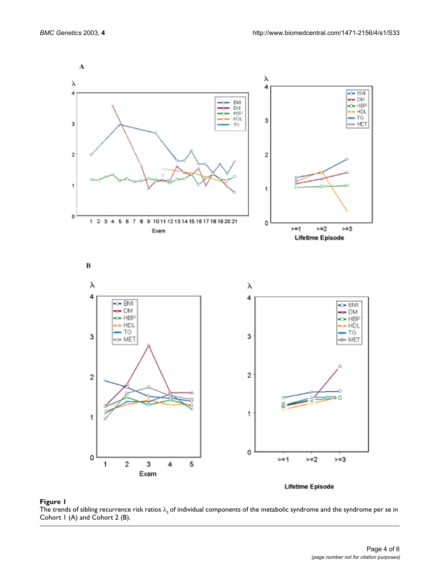<span id="page-3-0"></span>

**Figure 1** and Cohort 2 (B) and Cohort 2 (B) and Cohort 2 (B) and the metabolic syndrome and the syndrome and the syndrome per se individual components of the syndrome per se individual components of the syndrome per se in The trends of sibling recurrence risk ratios λ*s* of individual components of the metabolic syndrome and the syndrome per se in Cohort 1 (A) and Cohort 2 (B).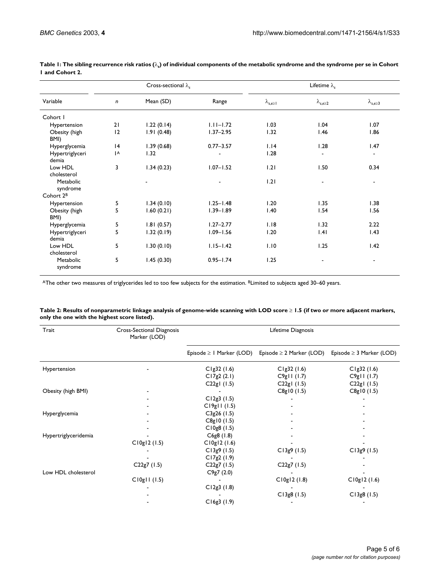| Variable                 | Cross-sectional $\lambda_{s}$ |            |               | Lifetime $\lambda_{s}$       |                      |                       |
|--------------------------|-------------------------------|------------|---------------|------------------------------|----------------------|-----------------------|
|                          | $\mathsf{n}$                  | Mean (SD)  | Range         | $\lambda_{\text{s,e}\geq 1}$ | $\lambda_{s,e\geq2}$ | $\lambda_{s,e\geq 3}$ |
| Cohort I                 |                               |            |               |                              |                      |                       |
| Hypertension             | 21                            | 1.22(0.14) | $1.11 - 1.72$ | 1.03                         | 1.04                 | 1.07                  |
| Obesity (high<br>BMI)    | 12                            | 1.91(0.48) | $1.37 - 2.95$ | 1.32                         | 1.46                 | 1.86                  |
| Hyperglycemia            | 4                             | 1.39(0.68) | $0.77 - 3.57$ | 1.14                         | 1.28                 | 1.47                  |
| Hypertriglyceri<br>demia | A                             | 1.32       |               | 1.28                         |                      |                       |
| Low HDL<br>cholesterol   | 3                             | 1.34(0.23) | $1.07 - 1.52$ | 1.21                         | 1.50                 | 0.34                  |
| Metabolic<br>syndrome    |                               |            |               | 1.21                         |                      |                       |
| Cohort 2 <sup>B</sup>    |                               |            |               |                              |                      |                       |
| Hypertension             | 5                             | 1.34(0.10) | $1.25 - 1.48$ | 1.20                         | 1.35                 | 1.38                  |
| Obesity (high<br>BMI)    | 5                             | 1.60(0.21) | $1.39 - 1.89$ | 1.40                         | 1.54                 | 1.56                  |
| Hyperglycemia            | 5                             | 1.81(0.57) | $1.27 - 2.77$ | 1.18                         | 1.32                 | 2.22                  |
| Hypertriglyceri<br>demia | 5                             | 1.32(0.19) | $1.09 - 1.56$ | 1.20                         | .4                   | 1.43                  |
| Low HDL<br>cholesterol   | 5                             | 1.30(0.10) | $1.15 - 1.42$ | 1.10                         | 1.25                 | 1.42                  |
| Metabolic<br>syndrome    | 5                             | 1.45(0.30) | $0.95 - 1.74$ | 1.25                         | $\blacksquare$       | ٠                     |

**Table 1: The sibling recurrence risk ratios (**λ*s***) of individual components of the metabolic syndrome and the syndrome per se in Cohort 1 and Cohort 2.**

AThe other two measures of triglycerides led to too few subjects for the estimation. <sup>B</sup>Limited to subjects aged 30–60 years.

| Trait                | Cross-Sectional Diagnosis<br>Marker (LOD) | Lifetime Diagnosis            |                               |                               |  |
|----------------------|-------------------------------------------|-------------------------------|-------------------------------|-------------------------------|--|
|                      |                                           | Episode $\geq 1$ Marker (LOD) | Episode $\geq 2$ Marker (LOD) | Episode $\geq$ 3 Marker (LOD) |  |
| Hypertension         |                                           | Clg32(1.6)                    | Clg32(1.6)                    | Clg32 (1.6)                   |  |
|                      |                                           | CI7g2(2.1)                    | C9g11(1.7)                    | C9g11(1.7)                    |  |
|                      |                                           | C $22gl(1.5)$                 | C22gl (1.5)                   | C22g1(1.5)                    |  |
| Obesity (high BMI)   |                                           |                               | C8g10(1.5)                    | C8g10(1.5)                    |  |
|                      |                                           | CI2g3(1.5)                    |                               |                               |  |
|                      |                                           | CI9g11(1.5)                   |                               |                               |  |
| Hyperglycemia        |                                           | $C3g26$ (1.5)                 |                               |                               |  |
|                      |                                           | C8g10(1.5)                    |                               |                               |  |
|                      |                                           | $C10g8$ (1.5)                 |                               |                               |  |
| Hypertriglyceridemia |                                           | $C6g8$ (1.8)                  |                               |                               |  |
|                      | CI0g12(1.5)                               | CI0g12(1.6)                   |                               |                               |  |
|                      |                                           | C13g9(1.5)                    | CI3g9(1.5)                    | CI3g9(1.5)                    |  |
|                      |                                           | CI7g2(1.9)                    |                               |                               |  |
|                      | C22g7(1.5)                                | C22g7(1.5)                    | C22g7(1.5)                    |                               |  |
| Low HDL cholesterol  |                                           | C9g7(2.0)                     |                               |                               |  |
|                      | CIOgII (I.5)                              |                               | C10g12(1.8)                   | C10g12 (1.6)                  |  |
|                      |                                           | CI2g3(1.8)                    |                               |                               |  |
|                      |                                           |                               | CI3g8(1.5)                    | CI3g8(1.5)                    |  |
|                      |                                           | C16g3(1.9)                    |                               |                               |  |

| Table 2: Results of nonparametric linkage analysis of genome-wide scanning with LOD score $\geq$ 1.5 (if two or more adjacent markers, |  |
|----------------------------------------------------------------------------------------------------------------------------------------|--|
| only the one with the highest score listed).                                                                                           |  |